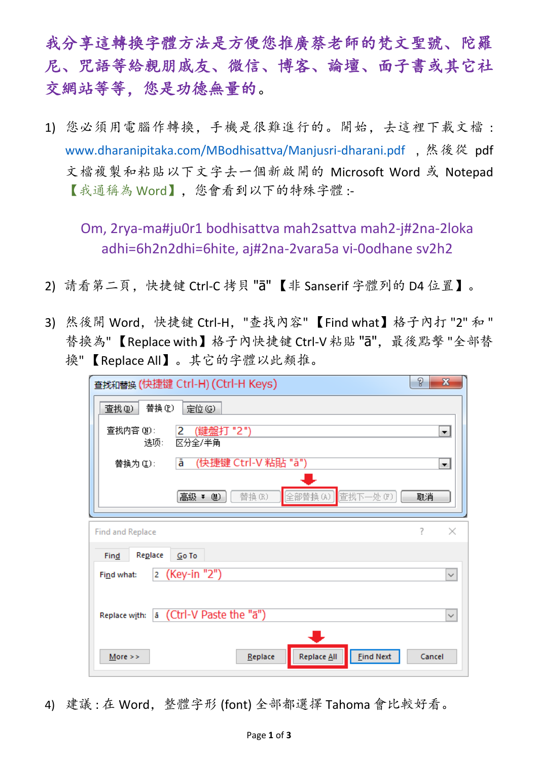我分享這轉換字體方法是方便您推廣蔡老師的梵文聖號、陀羅 尼、咒語等給親朋戚友、微信、博客、論壇、面子書或其它社 交網站等等,您是功德無量的。

1) 您必須用電腦作轉換,手機是很難進行的。開始,去這裡下載文檔 : [www.dharanipitaka.com/MBodhisattva/Manjusri-dharani.pdf](https://www.dharanipitaka.com/MBodhisattva/Manjusri-dharani.pdf), 然後從 pdf 文檔複製和粘貼以下文字去一個新啟開的 Microsoft Word 或 Notepad 【我通稱為 Word】,您會看到以下的特殊字體 :-

Om, 2rya-ma#ju0r1 bodhisattva mah2sattva mah2-j#2na-2loka adhi=6h2n2dhi=6hite, aj#2na-2vara5a vi-0odhane sv2h2

- 2) 請看第二頁,快捷键 Ctrl-C 拷貝 "ā" 【非 Sanserif 字體列的 D4 位置】。
- 3) 然後開 Word,快捷键 Ctrl-H,"查找內容" 【Find what】格子內打 "2" 和 " 替換為"【Replace with】格子內快捷键 Ctrl-V 粘貼 "ā", 最後點擊 "全部替 換" 【Replace All】。其它的字體以此類推。

| P<br>$\mathbf{x}$<br>查找和替换 (快捷键 Ctrl-H) (Ctrl-H Keys)       |
|-------------------------------------------------------------|
| 替换(P)<br>定位(G)<br>查找(D)                                     |
| 查找内容 (N):<br>(鍵盤打 "2")<br>2<br>▾<br>区分全/半角<br>选项:           |
| (快捷键 Ctrl-V 粘貼 "ā")<br>ā<br>替换为(L):<br>$\blacktriangledown$ |
| 全部替换(A)<br>查找下一处(F)<br>替换(R)<br>高级 ▼ (M)<br>取消              |
| ?<br>$\times$<br>Find and Replace                           |
|                                                             |
| Replace<br>Find<br>Go To                                    |
| 2 (Key-in "2")<br>Find what:<br>$\checkmark$                |
| a (Ctrl-V Paste the "a")<br>Replace with:<br>$\checkmark$   |

4) 建議 : 在 Word,整體字形 (font) 全部都選擇 Tahoma 會比較好看。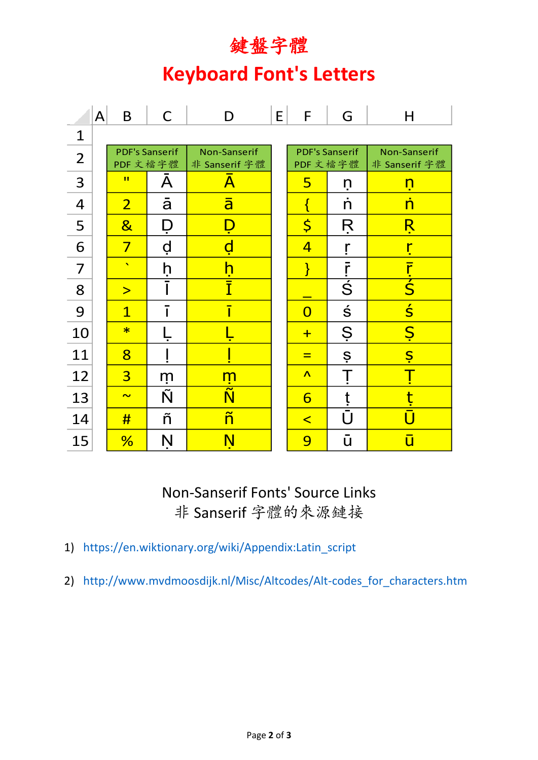## 鍵盤字體

## **Keyboard Font's Letters**

|                          | $\mathsf{A}$ | B                                | $\mathsf{C}$   | D                               | E | F                                | G                               | н                                 |  |  |  |  |  |  |
|--------------------------|--------------|----------------------------------|----------------|---------------------------------|---|----------------------------------|---------------------------------|-----------------------------------|--|--|--|--|--|--|
| $\mathbf{1}$             |              |                                  |                |                                 |   |                                  |                                 |                                   |  |  |  |  |  |  |
| $\overline{2}$           |              | <b>PDF's Sanserif</b><br>PDF文檔字體 |                | Non-Sanserif<br>非 Sanserif 字體   |   | <b>PDF's Sanserif</b><br>PDF文檔字體 |                                 | Non-Sanserif<br>非 Sanserif 字體     |  |  |  |  |  |  |
| 3                        |              | $\mathbf{H}$                     | Α              | $\overline{\mathsf{A}}$         |   | 5                                | ņ                               | <u>ท</u>                          |  |  |  |  |  |  |
| $\overline{\mathcal{A}}$ |              | $\overline{2}$                   | $\overline{a}$ | $\overline{\mathsf{a}}$         |   | $\{$                             | n                               | <u>n</u>                          |  |  |  |  |  |  |
| 5                        |              | $\overline{\mathbf{g}}$          | Ď              |                                 |   | $\overline{\varsigma}$           | Ŗ                               | <u>Ŗ</u>                          |  |  |  |  |  |  |
| 6                        |              | $\overline{7}$                   | ġ              | d                               |   | $\overline{4}$                   |                                 | ŗ                                 |  |  |  |  |  |  |
| $\overline{7}$           |              | $\mathbf{v}$                     | ḥ              | <u>h</u>                        |   | $\mathcal{E}$                    | $\bar{r}$                       | $rac{\overline{r}}{\overline{S}}$ |  |  |  |  |  |  |
| 8                        |              | $\geq$                           |                | Ī                               |   |                                  | $\overline{\acute{\mathsf{S}}}$ |                                   |  |  |  |  |  |  |
| 9                        |              | $\overline{1}$                   |                | ī                               |   | $\overline{0}$                   | $\acute{\textrm{s}}$            | $\overline{\mathsf{S}}$           |  |  |  |  |  |  |
| 10                       |              | $\ast$                           |                |                                 |   | $+$                              | Ş                               | $S_{\cdot}$                       |  |  |  |  |  |  |
| 11                       |              | $\overline{8}$                   |                |                                 |   | $=$                              | $\dot{S}$                       | <u>Ş</u>                          |  |  |  |  |  |  |
| 12                       |              | $\overline{3}$                   | m              | <u> ក្</u> នា                   |   | $\Lambda$                        | $\overline{\mathbb{I}}$         |                                   |  |  |  |  |  |  |
| 13                       |              | $\overline{\mathbf{v}}$          | Ñ              | $\overline{\tilde{\mathsf{N}}}$ |   | 6                                | ţ                               | t                                 |  |  |  |  |  |  |
| 14                       |              | #                                | ñ              | $\tilde{\mathsf{n}}$            |   | $\overline{\mathbf{C}}$          | Ū                               |                                   |  |  |  |  |  |  |
| 15                       |              | %                                | Ņ              | $\mathbf N$                     |   | 9                                | ū                               | ū                                 |  |  |  |  |  |  |

Non-Sanserif Fonts' Source Links 非 Sanserif 字體的來源鏈接

- 1) https://en.wiktionary.org/wiki/Appendix:Latin\_script
- 2) http://www.mvdmoosdijk.nl/Misc/Altcodes/Alt-codes\_for\_characters.htm